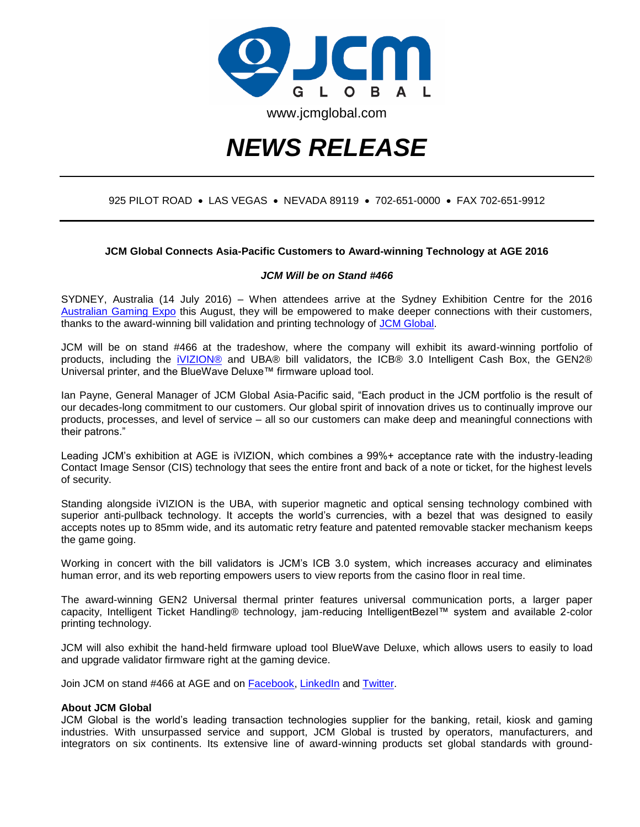

# *NEWS RELEASE*

### 925 PILOT ROAD · LAS VEGAS · NEVADA 89119 · 702-651-0000 · FAX 702-651-9912

#### **JCM Global Connects Asia-Pacific Customers to Award-winning Technology at AGE 2016**

#### *JCM Will be on Stand #466*

SYDNEY, Australia (14 July 2016) – When attendees arrive at the Sydney Exhibition Centre for the 2016 [Australian Gaming Expo](http://austgamingexpo.com/) this August, they will be empowered to make deeper connections with their customers, thanks to the award-winning bill validation and printing technology of [JCM Global.](http://www.jcmglobal.com/)

JCM will be on stand #466 at the tradeshow, where the company will exhibit its award-winning portfolio of products, including the [iVIZION®](http://www.ivizion.jcmglobal.com/) and UBA® bill validators, the ICB® 3.0 Intelligent Cash Box, the GEN2® Universal printer, and the BlueWave Deluxe™ firmware upload tool.

Ian Payne, General Manager of JCM Global Asia-Pacific said, "Each product in the JCM portfolio is the result of our decades-long commitment to our customers. Our global spirit of innovation drives us to continually improve our products, processes, and level of service – all so our customers can make deep and meaningful connections with their patrons."

Leading JCM's exhibition at AGE is iVIZION, which combines a 99%+ acceptance rate with the industry-leading Contact Image Sensor (CIS) technology that sees the entire front and back of a note or ticket, for the highest levels of security.

Standing alongside iVIZION is the UBA, with superior magnetic and optical sensing technology combined with superior anti-pullback technology. It accepts the world's currencies, with a bezel that was designed to easily accepts notes up to 85mm wide, and its automatic retry feature and patented removable stacker mechanism keeps the game going.

Working in concert with the bill validators is JCM's ICB 3.0 system, which increases accuracy and eliminates human error, and its web reporting empowers users to view reports from the casino floor in real time.

The award-winning GEN2 Universal thermal printer features universal communication ports, a larger paper capacity, Intelligent Ticket Handling® technology, jam-reducing IntelligentBezel™ system and available 2-color printing technology.

JCM will also exhibit the hand-held firmware upload tool BlueWave Deluxe, which allows users to easily to load and upgrade validator firmware right at the gaming device.

Join JCM on stand #466 at AGE and on **Facebook**, [LinkedIn](https://www.linkedin.com/company/2222147?trk=tyah&trkInfo=clickedVertical%3Acompany%2Cidx%3A1-1-1%2CtarId%3A1437512748233%2Ctas%3Ajcm%20global) and [Twitter.](https://twitter.com/JCMGlobal)

#### **About JCM Global**

JCM Global is the world's leading transaction technologies supplier for the banking, retail, kiosk and gaming industries. With unsurpassed service and support, JCM Global is trusted by operators, manufacturers, and integrators on six continents. Its extensive line of award-winning products set global standards with ground-